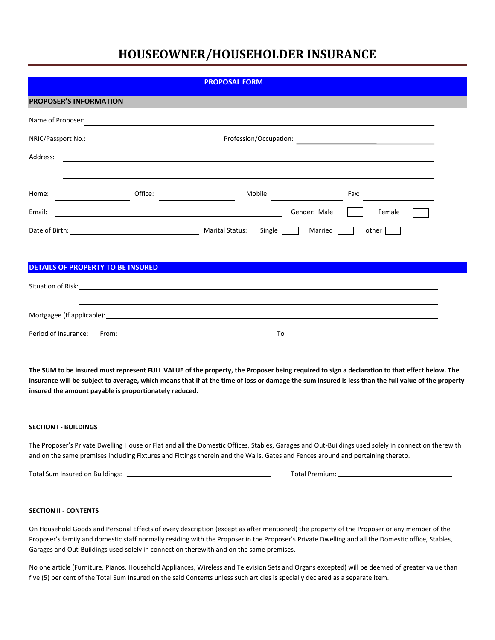| <b>PROPOSAL FORM</b>              |         |                                                                                                                         |                         |  |  |  |  |
|-----------------------------------|---------|-------------------------------------------------------------------------------------------------------------------------|-------------------------|--|--|--|--|
| <b>PROPOSER'S INFORMATION</b>     |         |                                                                                                                         |                         |  |  |  |  |
| Name of Proposer:                 |         | <u> 1989 - Johann Stoff, deutscher Stoff, der Stoff, der Stoff, der Stoff, der Stoff, der Stoff, der Stoff, der S</u>   |                         |  |  |  |  |
| NRIC/Passport No.: 2008           |         |                                                                                                                         |                         |  |  |  |  |
| Address:                          |         | <u> 1989 - Johann Stein, mars and de Brandenburg and de Brandenburg and de Brandenburg and de Brandenburg and de</u>    |                         |  |  |  |  |
|                                   |         |                                                                                                                         |                         |  |  |  |  |
| Home:                             | Office: | Mobile:                                                                                                                 | Fax:                    |  |  |  |  |
| Email:                            |         | <u> 1989 - Johann Stoff, deutscher Stoffen und der Stoffen und der Stoffen und der Stoffen und der Stoffen und der</u>  | Gender: Male<br>Female  |  |  |  |  |
|                                   |         | Single [                                                                                                                | Married<br>other $\Box$ |  |  |  |  |
|                                   |         |                                                                                                                         |                         |  |  |  |  |
| DETAILS OF PROPERTY TO BE INSURED |         |                                                                                                                         |                         |  |  |  |  |
|                                   |         | Situation of Risk: <u>Cambridge Communication</u> Communication Communication Communication Communication Communication |                         |  |  |  |  |
|                                   |         | <u> 1989 - Andrea Santa Andrea Andrea Andrea Andrea Andrea Andrea Andrea Andrea Andrea Andrea Andrea Andrea Andr</u>    |                         |  |  |  |  |
|                                   |         |                                                                                                                         |                         |  |  |  |  |
| Period of Insurance:<br>From:     |         | To                                                                                                                      |                         |  |  |  |  |

**The SUM to be insured must represent FULL VALUE of the property, the Proposer being required to sign a declaration to that effect below. The insurance will be subject to average, which means that if at the time of loss or damage the sum insured is less than the full value of the property insured the amount payable is proportionately reduced.**

## **SECTION I - BUILDINGS**

The Proposer's Private Dwelling House or Flat and all the Domestic Offices, Stables, Garages and Out-Buildings used solely in connection therewith and on the same premises including Fixtures and Fittings therein and the Walls, Gates and Fences around and pertaining thereto.

Total Sum Insured on Buildings: Total Premium:

### **SECTION II - CONTENTS**

On Household Goods and Personal Effects of every description (except as after mentioned) the property of the Proposer or any member of the Proposer's family and domestic staff normally residing with the Proposer in the Proposer's Private Dwelling and all the Domestic office, Stables, Garages and Out-Buildings used solely in connection therewith and on the same premises.

No one article (Furniture, Pianos, Household Appliances, Wireless and Television Sets and Organs excepted) will be deemed of greater value than five (5) per cent of the Total Sum Insured on the said Contents unless such articles is specially declared as a separate item.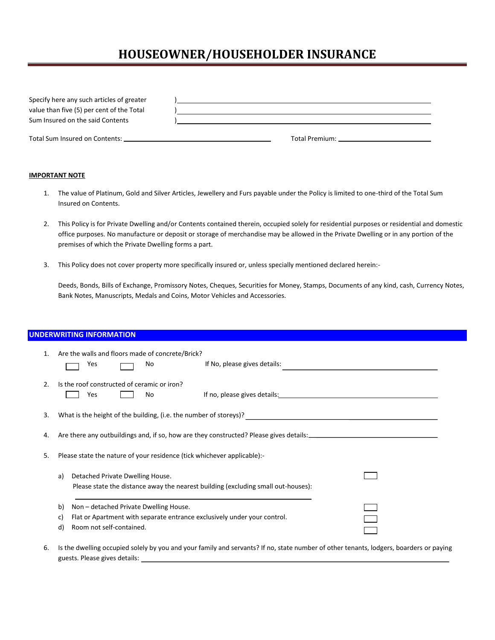| Specify here any such articles of greater<br>value than five (5) per cent of the Total<br>Sum Insured on the said Contents |                               |
|----------------------------------------------------------------------------------------------------------------------------|-------------------------------|
|                                                                                                                            | Total Premium: Total Premium: |

### **IMPORTANT NOTE**

- 1. The value of Platinum, Gold and Silver Articles, Jewellery and Furs payable under the Policy is limited to one-third of the Total Sum Insured on Contents.
- 2. This Policy is for Private Dwelling and/or Contents contained therein, occupied solely for residential purposes or residential and domestic office purposes. No manufacture or deposit or storage of merchandise may be allowed in the Private Dwelling or in any portion of the premises of which the Private Dwelling forms a part.
- 3. This Policy does not cover property more specifically insured or, unless specially mentioned declared herein:-

Deeds, Bonds, Bills of Exchange, Promissory Notes, Cheques, Securities for Money, Stamps, Documents of any kind, cash, Currency Notes, Bank Notes, Manuscripts, Medals and Coins, Motor Vehicles and Accessories.

## **UNDERWRITING INFORMATION**

| 1. | Are the walls and floors made of concrete/Brick?<br>Yes<br>No                                                                                                    | If No, please gives details:                                                                                                                                                                                                   |  |  |  |  |
|----|------------------------------------------------------------------------------------------------------------------------------------------------------------------|--------------------------------------------------------------------------------------------------------------------------------------------------------------------------------------------------------------------------------|--|--|--|--|
| 2. | Is the roof constructed of ceramic or iron?<br>Yes<br>No                                                                                                         | If no, please gives details: The same state of the state of the state of the state of the state of the state of the state of the state of the state of the state of the state of the state of the state of the state of the st |  |  |  |  |
| 3. | What is the height of the building, (i.e. the number of storeys)?                                                                                                |                                                                                                                                                                                                                                |  |  |  |  |
| 4. |                                                                                                                                                                  |                                                                                                                                                                                                                                |  |  |  |  |
| 5. | Please state the nature of your residence (tick whichever applicable):-                                                                                          |                                                                                                                                                                                                                                |  |  |  |  |
|    | Detached Private Dwelling House.<br>a)                                                                                                                           | Please state the distance away the nearest building (excluding small out-houses):                                                                                                                                              |  |  |  |  |
|    | Non - detached Private Dwelling House.<br>b)<br>Flat or Apartment with separate entrance exclusively under your control.<br>C)<br>Room not self-contained.<br>d) |                                                                                                                                                                                                                                |  |  |  |  |

6. Is the dwelling occupied solely by you and your family and servants? If no, state number of other tenants, lodgers, boarders or paying guests. Please gives details: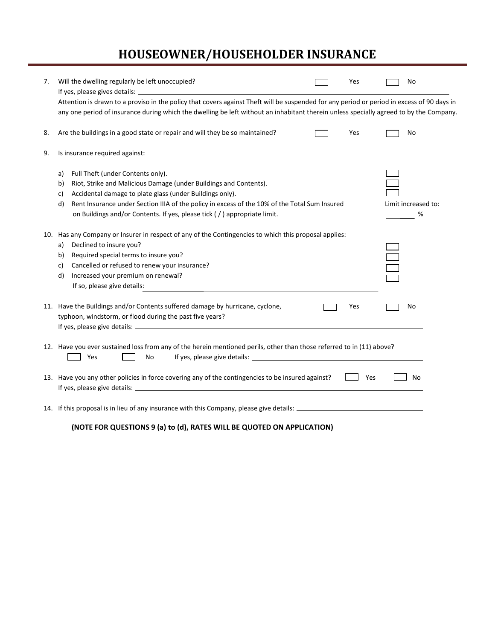| 7. | Will the dwelling regularly be left unoccupied?                                                                                                                                                                                                                                                                                                                         |  | Yes |  | No                       |  |  |  |
|----|-------------------------------------------------------------------------------------------------------------------------------------------------------------------------------------------------------------------------------------------------------------------------------------------------------------------------------------------------------------------------|--|-----|--|--------------------------|--|--|--|
|    | Attention is drawn to a proviso in the policy that covers against Theft will be suspended for any period or period in excess of 90 days in<br>any one period of insurance during which the dwelling be left without an inhabitant therein unless specially agreed to by the Company.                                                                                    |  |     |  |                          |  |  |  |
| 8. | Are the buildings in a good state or repair and will they be so maintained?                                                                                                                                                                                                                                                                                             |  | Yes |  | No                       |  |  |  |
| 9. | Is insurance required against:                                                                                                                                                                                                                                                                                                                                          |  |     |  |                          |  |  |  |
|    | Full Theft (under Contents only).<br>a)<br>Riot, Strike and Malicious Damage (under Buildings and Contents).<br>b)<br>Accidental damage to plate glass (under Buildings only).<br>c)<br>Rent Insurance under Section IIIA of the policy in excess of the 10% of the Total Sum Insured<br>d)<br>on Buildings and/or Contents. If yes, please tick (/) appropriate limit. |  |     |  | Limit increased to:<br>% |  |  |  |
|    | 10. Has any Company or Insurer in respect of any of the Contingencies to which this proposal applies:<br>Declined to insure you?<br>a)<br>Required special terms to insure you?<br>b)<br>Cancelled or refused to renew your insurance?<br>c)<br>Increased your premium on renewal?<br>d)<br>If so, please give details:                                                 |  |     |  |                          |  |  |  |
|    | 11. Have the Buildings and/or Contents suffered damage by hurricane, cyclone,<br>typhoon, windstorm, or flood during the past five years?                                                                                                                                                                                                                               |  | Yes |  | No                       |  |  |  |
|    | 12. Have you ever sustained loss from any of the herein mentioned perils, other than those referred to in (11) above?<br>Yes<br>No                                                                                                                                                                                                                                      |  |     |  |                          |  |  |  |
|    | 13. Have you any other policies in force covering any of the contingencies to be insured against?                                                                                                                                                                                                                                                                       |  | Yes |  | No                       |  |  |  |
|    | 14. If this proposal is in lieu of any insurance with this Company, please give details: _____________________                                                                                                                                                                                                                                                          |  |     |  |                          |  |  |  |
|    | (NOTE FOR QUESTIONS 9 (a) to (d), RATES WILL BE QUOTED ON APPLICATION)                                                                                                                                                                                                                                                                                                  |  |     |  |                          |  |  |  |